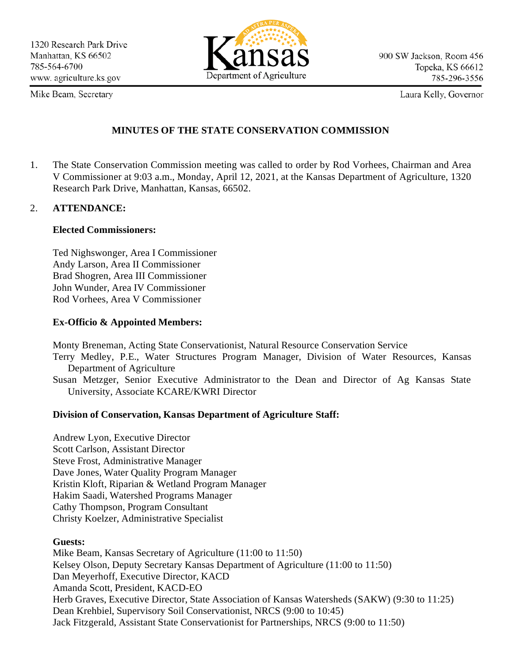

Mike Beam, Secretary

Laura Kelly, Governor

### **MINUTES OF THE STATE CONSERVATION COMMISSION**

1. The State Conservation Commission meeting was called to order by Rod Vorhees, Chairman and Area V Commissioner at 9:03 a.m., Monday, April 12, 2021, at the Kansas Department of Agriculture, 1320 Research Park Drive, Manhattan, Kansas, 66502.

### 2. **ATTENDANCE:**

### **Elected Commissioners:**

Ted Nighswonger, Area I Commissioner Andy Larson, Area II Commissioner Brad Shogren, Area III Commissioner John Wunder, Area IV Commissioner Rod Vorhees, Area V Commissioner

### **Ex-Officio & Appointed Members:**

Monty Breneman, Acting State Conservationist, Natural Resource Conservation Service

- Terry Medley, P.E., Water Structures Program Manager, Division of Water Resources, Kansas Department of Agriculture
- Susan Metzger, Senior Executive Administrator to the Dean and Director of Ag Kansas State University, Associate KCARE/KWRI Director

### **Division of Conservation, Kansas Department of Agriculture Staff:**

Andrew Lyon, Executive Director Scott Carlson, Assistant Director Steve Frost, Administrative Manager Dave Jones, Water Quality Program Manager Kristin Kloft, Riparian & Wetland Program Manager Hakim Saadi, Watershed Programs Manager Cathy Thompson, Program Consultant Christy Koelzer, Administrative Specialist

### **Guests:**

Mike Beam, Kansas Secretary of Agriculture (11:00 to 11:50) Kelsey Olson, Deputy Secretary Kansas Department of Agriculture (11:00 to 11:50) Dan Meyerhoff, Executive Director, KACD Amanda Scott, President, KACD-EO Herb Graves, Executive Director, State Association of Kansas Watersheds (SAKW) (9:30 to 11:25) Dean Krehbiel, Supervisory Soil Conservationist, NRCS (9:00 to 10:45) Jack Fitzgerald, Assistant State Conservationist for Partnerships, NRCS (9:00 to 11:50)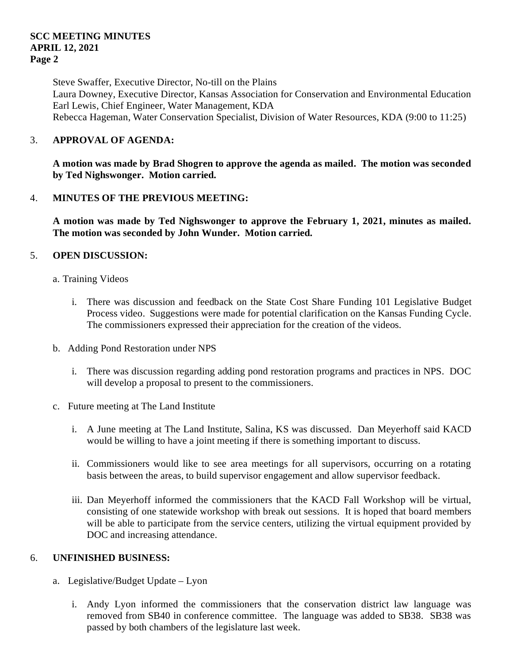Steve Swaffer, Executive Director, No-till on the Plains Laura Downey, Executive Director, Kansas Association for Conservation and Environmental Education Earl Lewis, Chief Engineer, Water Management, KDA Rebecca Hageman, Water Conservation Specialist, Division of Water Resources, KDA (9:00 to 11:25)

### 3. **APPROVAL OF AGENDA:**

**A motion was made by Brad Shogren to approve the agenda as mailed. The motion was seconded by Ted Nighswonger. Motion carried.**

### 4. **MINUTES OF THE PREVIOUS MEETING:**

**A motion was made by Ted Nighswonger to approve the February 1, 2021, minutes as mailed. The motion was seconded by John Wunder. Motion carried.**

### 5. **OPEN DISCUSSION:**

- a. Training Videos
	- i. There was discussion and feedback on the State Cost Share Funding 101 Legislative Budget Process video. Suggestions were made for potential clarification on the Kansas Funding Cycle. The commissioners expressed their appreciation for the creation of the videos.
- b. Adding Pond Restoration under NPS
	- i. There was discussion regarding adding pond restoration programs and practices in NPS. DOC will develop a proposal to present to the commissioners.
- c. Future meeting at The Land Institute
	- i. A June meeting at The Land Institute, Salina, KS was discussed. Dan Meyerhoff said KACD would be willing to have a joint meeting if there is something important to discuss.
	- ii. Commissioners would like to see area meetings for all supervisors, occurring on a rotating basis between the areas, to build supervisor engagement and allow supervisor feedback.
	- iii. Dan Meyerhoff informed the commissioners that the KACD Fall Workshop will be virtual, consisting of one statewide workshop with break out sessions. It is hoped that board members will be able to participate from the service centers, utilizing the virtual equipment provided by DOC and increasing attendance.

### 6. **UNFINISHED BUSINESS:**

- a. Legislative/Budget Update Lyon
	- i. Andy Lyon informed the commissioners that the conservation district law language was removed from SB40 in conference committee. The language was added to SB38. SB38 was passed by both chambers of the legislature last week.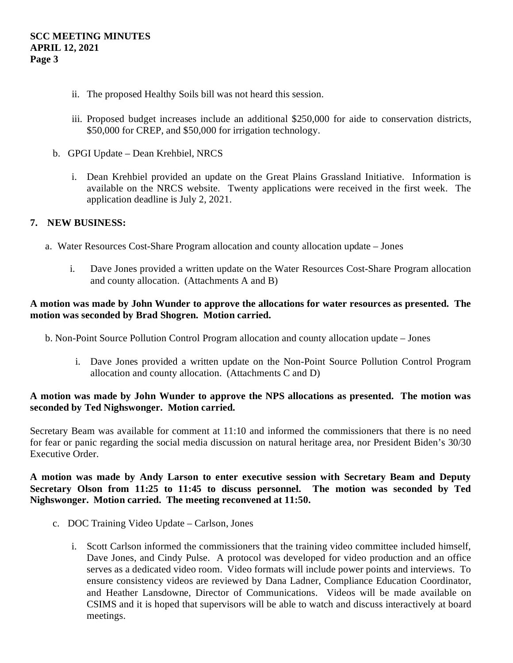- ii. The proposed Healthy Soils bill was not heard this session.
- iii. Proposed budget increases include an additional \$250,000 for aide to conservation districts, \$50,000 for CREP, and \$50,000 for irrigation technology.
- b. GPGI Update Dean Krehbiel, NRCS
	- i. Dean Krehbiel provided an update on the Great Plains Grassland Initiative. Information is available on the NRCS website. Twenty applications were received in the first week. The application deadline is July 2, 2021.

### **7. NEW BUSINESS:**

- a. Water Resources Cost-Share Program allocation and county allocation update Jones
	- i. Dave Jones provided a written update on the Water Resources Cost-Share Program allocation and county allocation. (Attachments A and B)

### **A motion was made by John Wunder to approve the allocations for water resources as presented. The motion was seconded by Brad Shogren. Motion carried.**

- b. Non-Point Source Pollution Control Program allocation and county allocation update Jones
	- i. Dave Jones provided a written update on the Non-Point Source Pollution Control Program allocation and county allocation. (Attachments C and D)

### **A motion was made by John Wunder to approve the NPS allocations as presented. The motion was seconded by Ted Nighswonger. Motion carried.**

Secretary Beam was available for comment at 11:10 and informed the commissioners that there is no need for fear or panic regarding the social media discussion on natural heritage area, nor President Biden's 30/30 Executive Order.

### **A motion was made by Andy Larson to enter executive session with Secretary Beam and Deputy Secretary Olson from 11:25 to 11:45 to discuss personnel. The motion was seconded by Ted Nighswonger. Motion carried. The meeting reconvened at 11:50.**

- c. DOC Training Video Update Carlson, Jones
	- i. Scott Carlson informed the commissioners that the training video committee included himself, Dave Jones, and Cindy Pulse. A protocol was developed for video production and an office serves as a dedicated video room. Video formats will include power points and interviews. To ensure consistency videos are reviewed by Dana Ladner, Compliance Education Coordinator, and Heather Lansdowne, Director of Communications. Videos will be made available on CSIMS and it is hoped that supervisors will be able to watch and discuss interactively at board meetings.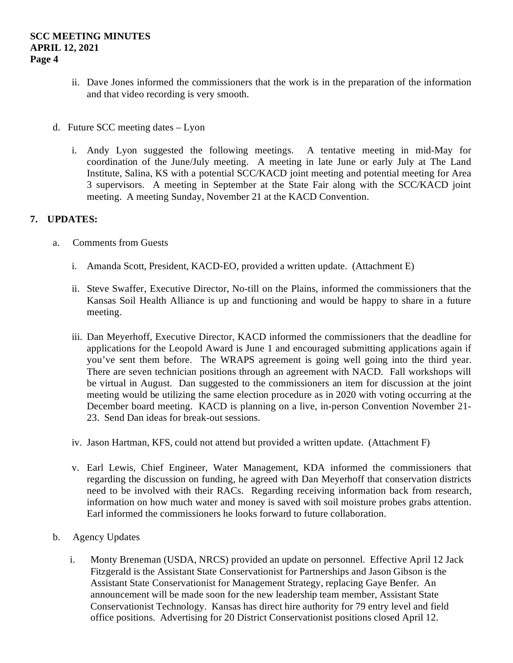- ii. Dave Jones informed the commissioners that the work is in the preparation of the information and that video recording is very smooth.
- d. Future SCC meeting dates Lyon
	- i. Andy Lyon suggested the following meetings. A tentative meeting in mid-May for coordination of the June/July meeting. A meeting in late June or early July at The Land Institute, Salina, KS with a potential SCC/KACD joint meeting and potential meeting for Area 3 supervisors. A meeting in September at the State Fair along with the SCC/KACD joint meeting. A meeting Sunday, November 21 at the KACD Convention.

### **7. UPDATES:**

- a. Comments from Guests
	- i. Amanda Scott, President, KACD-EO, provided a written update. (Attachment E)
	- ii. Steve Swaffer, Executive Director, No-till on the Plains, informed the commissioners that the Kansas Soil Health Alliance is up and functioning and would be happy to share in a future meeting.
	- iii. Dan Meyerhoff, Executive Director, KACD informed the commissioners that the deadline for applications for the Leopold Award is June 1 and encouraged submitting applications again if you've sent them before. The WRAPS agreement is going well going into the third year. There are seven technician positions through an agreement with NACD. Fall workshops will be virtual in August. Dan suggested to the commissioners an item for discussion at the joint meeting would be utilizing the same election procedure as in 2020 with voting occurring at the December board meeting. KACD is planning on a live, in-person Convention November 21- 23. Send Dan ideas for break-out sessions.
	- iv. Jason Hartman, KFS, could not attend but provided a written update. (Attachment F)
	- v. Earl Lewis, Chief Engineer, Water Management, KDA informed the commissioners that regarding the discussion on funding, he agreed with Dan Meyerhoff that conservation districts need to be involved with their RACs. Regarding receiving information back from research, information on how much water and money is saved with soil moisture probes grabs attention. Earl informed the commissioners he looks forward to future collaboration.
- b. Agency Updates
	- i. Monty Breneman (USDA, NRCS) provided an update on personnel. Effective April 12 Jack Fitzgerald is the Assistant State Conservationist for Partnerships and Jason Gibson is the Assistant State Conservationist for Management Strategy, replacing Gaye Benfer. An announcement will be made soon for the new leadership team member, Assistant State Conservationist Technology. Kansas has direct hire authority for 79 entry level and field office positions. Advertising for 20 District Conservationist positions closed April 12.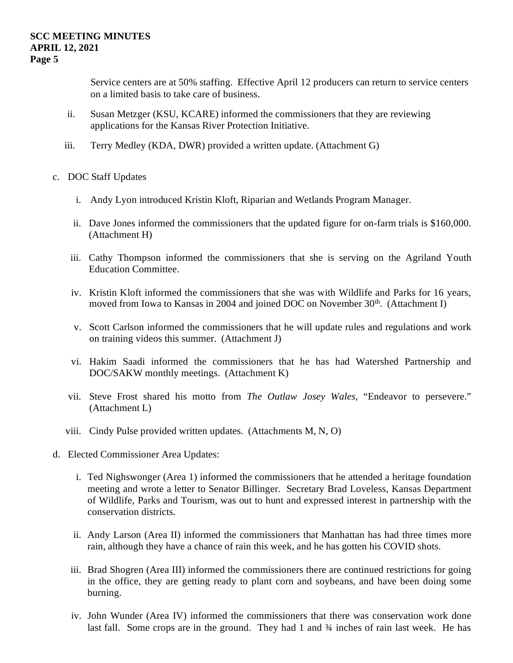Service centers are at 50% staffing. Effective April 12 producers can return to service centers on a limited basis to take care of business.

- ii. Susan Metzger (KSU, KCARE) informed the commissioners that they are reviewing applications for the Kansas River Protection Initiative.
- iii. Terry Medley (KDA, DWR) provided a written update. (Attachment G)
- c. DOC Staff Updates
	- i. Andy Lyon introduced Kristin Kloft, Riparian and Wetlands Program Manager.
	- ii. Dave Jones informed the commissioners that the updated figure for on-farm trials is \$160,000. (Attachment H)
	- iii. Cathy Thompson informed the commissioners that she is serving on the Agriland Youth Education Committee.
	- iv. Kristin Kloft informed the commissioners that she was with Wildlife and Parks for 16 years, moved from Iowa to Kansas in 2004 and joined DOC on November 30<sup>th</sup>. (Attachment I)
	- v. Scott Carlson informed the commissioners that he will update rules and regulations and work on training videos this summer. (Attachment J)
	- vi. Hakim Saadi informed the commissioners that he has had Watershed Partnership and DOC/SAKW monthly meetings. (Attachment K)
	- vii. Steve Frost shared his motto from *The Outlaw Josey Wales*, "Endeavor to persevere." (Attachment L)
	- viii. Cindy Pulse provided written updates. (Attachments M, N, O)
- d. Elected Commissioner Area Updates:
	- i. Ted Nighswonger (Area 1) informed the commissioners that he attended a heritage foundation meeting and wrote a letter to Senator Billinger. Secretary Brad Loveless, Kansas Department of Wildlife, Parks and Tourism, was out to hunt and expressed interest in partnership with the conservation districts.
	- ii. Andy Larson (Area II) informed the commissioners that Manhattan has had three times more rain, although they have a chance of rain this week, and he has gotten his COVID shots.
	- iii. Brad Shogren (Area III) informed the commissioners there are continued restrictions for going in the office, they are getting ready to plant corn and soybeans, and have been doing some burning.
	- iv. John Wunder (Area IV) informed the commissioners that there was conservation work done last fall. Some crops are in the ground. They had 1 and  $\frac{3}{4}$  inches of rain last week. He has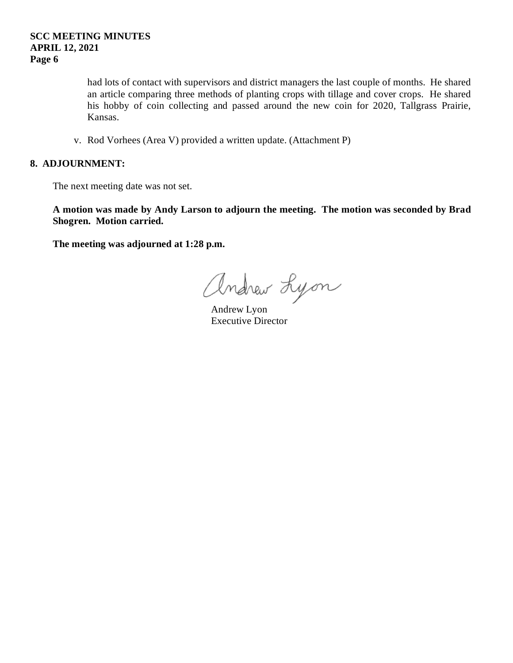had lots of contact with supervisors and district managers the last couple of months. He shared an article comparing three methods of planting crops with tillage and cover crops. He shared his hobby of coin collecting and passed around the new coin for 2020, Tallgrass Prairie, Kansas.

v. Rod Vorhees (Area V) provided a written update. (Attachment P)

### **8. ADJOURNMENT:**

The next meeting date was not set.

**A motion was made by Andy Larson to adjourn the meeting. The motion was seconded by Brad Shogren. Motion carried.** 

**The meeting was adjourned at 1:28 p.m.**

andrew Lyon

Executive Director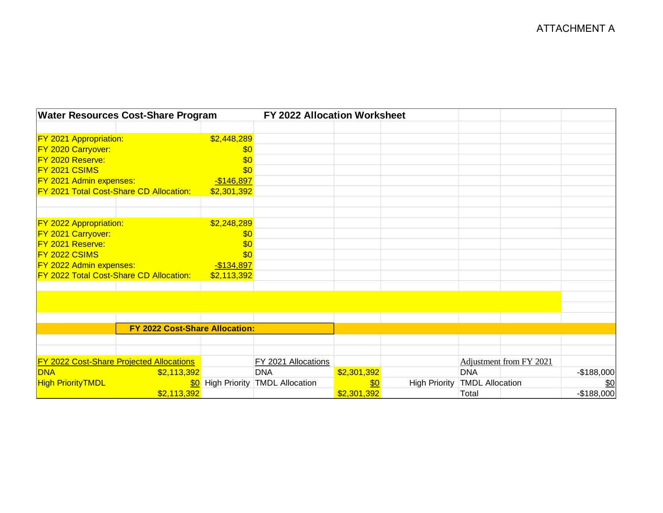| <b>Water Resources Cost-Share Program</b>       |             | FY 2022 Allocation Worksheet             |             |                      |                        |                         |             |
|-------------------------------------------------|-------------|------------------------------------------|-------------|----------------------|------------------------|-------------------------|-------------|
|                                                 |             |                                          |             |                      |                        |                         |             |
| <b>FY 2021 Appropriation:</b>                   | \$2,448,289 |                                          |             |                      |                        |                         |             |
| FY 2020 Carryover:                              | \$0         |                                          |             |                      |                        |                         |             |
| FY 2020 Reserve:                                | \$0         |                                          |             |                      |                        |                         |             |
| FY 2021 CSIMS                                   | \$0         |                                          |             |                      |                        |                         |             |
| FY 2021 Admin expenses:                         | $-$146,897$ |                                          |             |                      |                        |                         |             |
| FY 2021 Total Cost-Share CD Allocation:         | \$2,301,392 |                                          |             |                      |                        |                         |             |
|                                                 |             |                                          |             |                      |                        |                         |             |
|                                                 |             |                                          |             |                      |                        |                         |             |
| <b>FY 2022 Appropriation:</b>                   | \$2,248,289 |                                          |             |                      |                        |                         |             |
| <b>FY 2021 Carryover:</b>                       | \$0         |                                          |             |                      |                        |                         |             |
| FY 2021 Reserve:                                | \$0         |                                          |             |                      |                        |                         |             |
| FY 2022 CSIMS                                   | \$0         |                                          |             |                      |                        |                         |             |
| FY 2022 Admin expenses:                         | $-$134,897$ |                                          |             |                      |                        |                         |             |
| FY 2022 Total Cost-Share CD Allocation:         | \$2,113,392 |                                          |             |                      |                        |                         |             |
|                                                 |             |                                          |             |                      |                        |                         |             |
|                                                 |             |                                          |             |                      |                        |                         |             |
|                                                 |             |                                          |             |                      |                        |                         |             |
|                                                 |             |                                          |             |                      |                        |                         |             |
| FY 2022 Cost-Share Allocation:                  |             |                                          |             |                      |                        |                         |             |
|                                                 |             |                                          |             |                      |                        |                         |             |
|                                                 |             |                                          |             |                      |                        |                         |             |
| <b>FY 2022 Cost-Share Projected Allocations</b> |             | FY 2021 Allocations                      |             |                      |                        | Adjustment from FY 2021 |             |
| <b>DNA</b><br>\$2,113,392                       |             | <b>DNA</b>                               | \$2,301,392 |                      | <b>DNA</b>             |                         | $-$188,000$ |
| <b>High PriorityTMDL</b>                        |             | <b>\$0</b> High Priority TMDL Allocation | \$0         | <b>High Priority</b> | <b>TMDL Allocation</b> |                         | \$0         |
| \$2,113,392                                     |             |                                          | \$2,301,392 |                      | Total                  |                         | $-$188,000$ |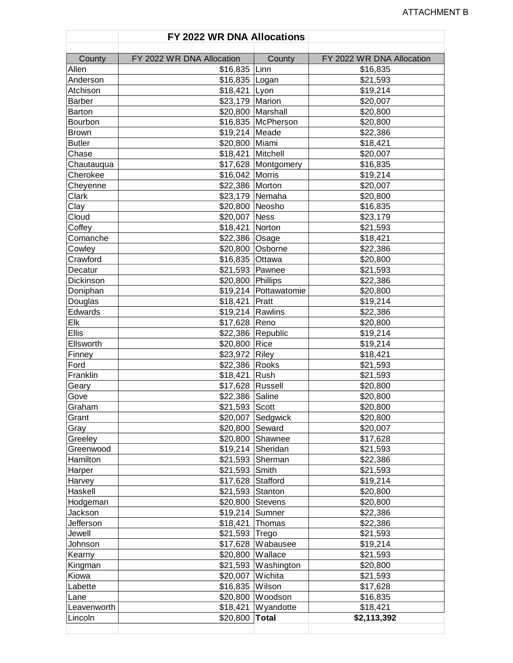|               | FY 2022 WR DNA Allocations |                       |                           |
|---------------|----------------------------|-----------------------|---------------------------|
| County        | FY 2022 WR DNA Allocation  | County                | FY 2022 WR DNA Allocation |
| Allen         | \$16,835 Linn              |                       | \$16,835                  |
| Anderson      | \$16,835 Logan             |                       | \$21,593                  |
| Atchison      | \$18,421 Lyon              |                       | \$19,214                  |
| <b>Barber</b> | \$23,179 Marion            |                       | \$20,007                  |
| Barton        |                            | \$20,800 Marshall     | \$20,800                  |
| Bourbon       |                            | \$16,835 McPherson    | \$20,800                  |
| <b>Brown</b>  | \$19,214 Meade             |                       | \$22,386                  |
| <b>Butler</b> | \$20,800 Miami             |                       | \$18,421                  |
| Chase         | \$18,421 Mitchell          |                       | \$20,007                  |
| Chautauqua    |                            | \$17,628 Montgomery   | \$16,835                  |
| Cherokee      | \$16,042 Morris            |                       | \$19,214                  |
| Cheyenne      | \$22,386 Morton            |                       | \$20,007                  |
| Clark         |                            | \$23,179 Nemaha       | \$20,800                  |
| Clay          | \$20,800 Neosho            |                       | \$16,835                  |
| Cloud         | \$20,007 Ness              |                       | \$23,179                  |
| Coffey        | \$18,421 Norton            |                       | \$21,593                  |
| Comanche      | \$22,386 Osage             |                       | \$18,421                  |
| Cowley        |                            | \$20,800 Osborne      | \$22,386                  |
| Crawford      | \$16,835 Ottawa            |                       | \$20,800                  |
| Decatur       | \$21,593 Pawnee            |                       | \$21,593                  |
| Dickinson     | \$20,800 Phillips          |                       | \$22,386                  |
| Doniphan      |                            | \$19,214 Pottawatomie | \$20,800                  |
| Douglas       | \$18,421 Pratt             |                       | \$19,214                  |
| Edwards       | \$19,214 Rawlins           |                       | \$22,386                  |
| Elk           | \$17,628 Reno              |                       | \$20,800                  |
| <b>Ellis</b>  |                            | \$22,386 Republic     | \$19,214                  |
| Ellsworth     | \$20,800 Rice              |                       | \$19,214                  |
| Finney        | \$23,972 Riley             |                       | \$18,421                  |
| Ford          | \$22,386 Rooks             |                       | \$21,593                  |
| Franklin      | \$18,421 Rush              |                       | \$21,593                  |
| Geary         | \$17,628 Russell           |                       | \$20,800                  |
| Gove          | \$22,386 Saline            |                       | \$20,800                  |
| Graham        | \$21,593 Scott             |                       | \$20,800                  |
| Grant         |                            | \$20,007 Sedgwick     | \$20,800                  |
| Gray          | \$20,800 Seward            |                       | \$20,007                  |
| Greeley       |                            | \$20,800 Shawnee      | \$17,628                  |
| Greenwood     |                            | \$19,214 Sheridan     | \$21,593                  |
| Hamilton      |                            | \$21,593 Sherman      | \$22,386                  |
| Harper        | \$21,593                   | Smith                 | \$21,593                  |
| Harvey        | \$17,628                   | Stafford              | \$19,214                  |
| Haskell       | \$21,593 Stanton           |                       | \$20,800                  |
| Hodgeman      | \$20,800 Stevens           |                       | \$20,800                  |
| Jackson       | \$19,214 Sumner            |                       | \$22,386                  |
| Jefferson     | \$18,421                   | Thomas                | \$22,386                  |
| Jewell        | \$21,593 Trego             |                       | \$21,593                  |
| Johnson       |                            | \$17,628 Wabausee     | \$19,214                  |
| Kearny        | \$20,800 Wallace           |                       | \$21,593                  |
| Kingman       |                            | \$21,593 Washington   | \$20,800                  |
| Kiowa         | \$20,007 Wichita           |                       | \$21,593                  |
| Labette       | \$16,835 Wilson            |                       | \$17,628                  |
| Lane          |                            | \$20,800 Woodson      | \$16,835                  |
| Leavenworth   |                            | $$18,421$ Wyandotte   | \$18,421                  |
| Lincoln       | \$20,800                   | <b>Total</b>          | \$2,113,392               |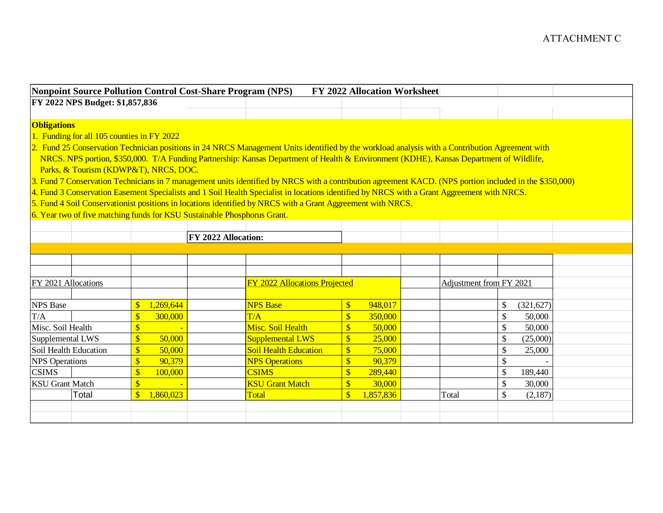|                                                                                                                                                                                             | Nonpoint Source Pollution Control Cost-Share Program (NPS)               |                                                                                                                                             | FY 2022 Allocation Worksheet                       |                                                                                                                                                         |  |
|---------------------------------------------------------------------------------------------------------------------------------------------------------------------------------------------|--------------------------------------------------------------------------|---------------------------------------------------------------------------------------------------------------------------------------------|----------------------------------------------------|---------------------------------------------------------------------------------------------------------------------------------------------------------|--|
| FY 2022 NPS Budget: \$1,857,836                                                                                                                                                             |                                                                          |                                                                                                                                             |                                                    |                                                                                                                                                         |  |
|                                                                                                                                                                                             |                                                                          |                                                                                                                                             |                                                    |                                                                                                                                                         |  |
| <b>Obligations</b>                                                                                                                                                                          |                                                                          |                                                                                                                                             |                                                    |                                                                                                                                                         |  |
| 1. Funding for all 105 counties in FY 2022                                                                                                                                                  |                                                                          |                                                                                                                                             |                                                    |                                                                                                                                                         |  |
|                                                                                                                                                                                             |                                                                          |                                                                                                                                             |                                                    | 2. Fund 25 Conservation Technician positions in 24 NRCS Management Units identified by the workload analysis with a Contribution Agreement with         |  |
|                                                                                                                                                                                             |                                                                          |                                                                                                                                             |                                                    | NRCS. NPS portion, \$350,000. T/A Funding Partnership: Kansas Department of Health & Environment (KDHE), Kansas Department of Wildlife,                 |  |
|                                                                                                                                                                                             | Parks, & Tourism (KDWP&T), NRCS, DOC.                                    |                                                                                                                                             |                                                    |                                                                                                                                                         |  |
|                                                                                                                                                                                             |                                                                          |                                                                                                                                             |                                                    | 3. Fund 7 Conservation Technicians in 7 management units identified by NRCS with a contribution agreement KACD. (NPS portion included in the \$350,000) |  |
|                                                                                                                                                                                             |                                                                          | 4. Fund 3 Conservation Easement Specialists and 1 Soil Health Specialist in locations identified by NRCS with a Grant Aggreement with NRCS. |                                                    |                                                                                                                                                         |  |
|                                                                                                                                                                                             |                                                                          | 5. Fund 4 Soil Conservationist positions in locations identified by NRCS with a Grant Aggreement with NRCS.                                 |                                                    |                                                                                                                                                         |  |
|                                                                                                                                                                                             | 6. Year two of five matching funds for KSU Sustainable Phosphorus Grant. |                                                                                                                                             |                                                    |                                                                                                                                                         |  |
|                                                                                                                                                                                             |                                                                          | FY 2022 Allocation:                                                                                                                         |                                                    |                                                                                                                                                         |  |
|                                                                                                                                                                                             |                                                                          |                                                                                                                                             |                                                    |                                                                                                                                                         |  |
|                                                                                                                                                                                             |                                                                          |                                                                                                                                             |                                                    |                                                                                                                                                         |  |
|                                                                                                                                                                                             |                                                                          |                                                                                                                                             |                                                    |                                                                                                                                                         |  |
|                                                                                                                                                                                             |                                                                          |                                                                                                                                             |                                                    |                                                                                                                                                         |  |
|                                                                                                                                                                                             |                                                                          |                                                                                                                                             |                                                    |                                                                                                                                                         |  |
|                                                                                                                                                                                             |                                                                          | <b>FY 2022 Allocations Projected</b>                                                                                                        |                                                    | Adjustment from FY 2021                                                                                                                                 |  |
|                                                                                                                                                                                             | $\overline{\mathbb{S}}$<br>1,269,644                                     | <b>NPS Base</b>                                                                                                                             | 948,017<br>\$                                      | \$<br>(321, 627)                                                                                                                                        |  |
|                                                                                                                                                                                             | $\overline{\mathbb{S}}$<br>300,000                                       | T/A                                                                                                                                         | $\sqrt{\frac{2}{5}}$<br>350,000                    | $\mathcal{S}$<br>50,000                                                                                                                                 |  |
|                                                                                                                                                                                             | $\mathbb{S}$                                                             | Misc. Soil Health                                                                                                                           | $\overline{\mathbb{S}}$<br>50,000                  | $\mathcal{S}$<br>50,000                                                                                                                                 |  |
|                                                                                                                                                                                             | $\sqrt{\frac{1}{2}}$<br>50,000                                           | <b>Supplemental LWS</b>                                                                                                                     | $\sqrt[3]{\frac{1}{2}}$<br>25,000                  | \$<br>(25,000)                                                                                                                                          |  |
|                                                                                                                                                                                             | $\sqrt{\frac{1}{2}}$<br>50,000                                           | <b>Soil Health Education</b>                                                                                                                | $\overline{\mathbb{S}}$<br>75,000                  | \$<br>25,000                                                                                                                                            |  |
|                                                                                                                                                                                             | $\overline{\mathbb{S}}$<br>90,379                                        | <b>NPS Operations</b>                                                                                                                       | $\sqrt{\frac{2}{5}}$<br>90,379                     | $\mathcal{S}$                                                                                                                                           |  |
|                                                                                                                                                                                             | $\overline{\mathbb{S}}$<br>100,000                                       | <b>CSIMS</b>                                                                                                                                | $\sqrt{\frac{2}{5}}$<br>289,440                    | \$<br>189,440                                                                                                                                           |  |
| FY 2021 Allocations<br><b>NPS</b> Base<br>T/A<br>Misc. Soil Health<br>Supplemental LWS<br>Soil Health Education<br><b>NPS</b> Operations<br><b>CSIMS</b><br><b>KSU</b> Grant Match<br>Total | $\mathbf{\$\}$<br>$\mathbb{S}$<br>1,860,023                              | <b>KSU Grant Match</b><br>Total                                                                                                             | $\sqrt[6]{3}$<br>30,000<br>$\sqrt{3}$<br>1,857,836 | \$<br>30,000<br>\$<br>Total<br>(2,187)                                                                                                                  |  |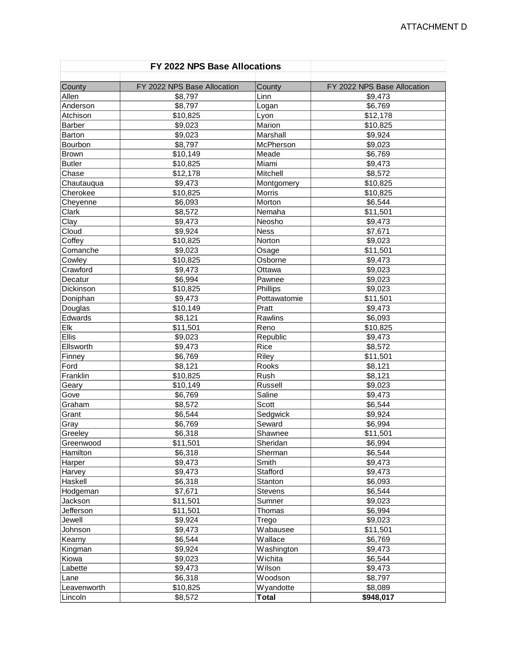|                | FY 2022 NPS Base Allocations |              |                             |
|----------------|------------------------------|--------------|-----------------------------|
| County         | FY 2022 NPS Base Allocation  | County       | FY 2022 NPS Base Allocation |
| Allen          | \$8,797                      | Linn         | \$9,473                     |
| Anderson       | \$8,797                      | Logan        | \$6,769                     |
| Atchison       | \$10,825                     | Lyon         | \$12,178                    |
| Barber         | \$9,023                      | Marion       | \$10,825                    |
| Barton         | \$9,023                      | Marshall     | \$9,924                     |
| Bourbon        | \$8,797                      | McPherson    | \$9,023                     |
| <b>Brown</b>   | \$10,149                     | Meade        | \$6,769                     |
| <b>Butler</b>  | \$10,825                     | Miami        | \$9,473                     |
| Chase          | \$12,178                     | Mitchell     | \$8,572                     |
| Chautauqua     | \$9,473                      | Montgomery   | \$10,825                    |
| Cherokee       | \$10,825                     | Morris       | \$10,825                    |
| Cheyenne       | \$6,093                      | Morton       | \$6,544                     |
| Clark          | \$8,572                      | Nemaha       | \$11,501                    |
| Clay           | \$9,473                      | Neosho       | \$9,473                     |
| Cloud          | \$9,924                      | <b>Ness</b>  | \$7,671                     |
| Coffey         | \$10,825                     | Norton       | \$9,023                     |
| Comanche       | \$9,023                      | Osage        | \$11,501                    |
| Cowley         | \$10,825                     | Osborne      | \$9,473                     |
| Crawford       | \$9,473                      | Ottawa       | \$9,023                     |
| Decatur        | \$6,994                      | Pawnee       | \$9,023                     |
| Dickinson      | \$10,825                     | Phillips     | \$9,023                     |
| Doniphan       | \$9,473                      | Pottawatomie | \$11,501                    |
| Douglas        | \$10,149                     | Pratt        | \$9,473                     |
| Edwards        | \$8,121                      | Rawlins      | \$6,093                     |
| $\mathsf{Elk}$ | \$11,501                     | Reno         | \$10,825                    |
| Ellis          | \$9,023                      | Republic     | \$9,473                     |
| Ellsworth      | \$9,473                      | Rice         | \$8,572                     |
| Finney         | \$6,769                      | Riley        | \$11,501                    |
| Ford           | \$8,121                      | Rooks        | \$8,121                     |
| Franklin       | \$10,825                     | Rush         | \$8,121                     |
| Geary          | \$10,149                     | Russell      | \$9,023                     |
| Gove           | \$6,769                      | Saline       | \$9,473                     |
| Graham         | \$8,572                      | Scott        | \$6,544                     |
| Grant          | \$6,544                      | Sedgwick     | \$9,924                     |
| Gray           | \$6,769                      | Seward       | \$6,994                     |
| Greeley        | \$6,318                      | Shawnee      | \$11,501                    |
| Greenwood      | \$11,501                     | Sheridan     | \$6,994                     |
| Hamilton       | \$6,318                      | Sherman      | \$6,544                     |
| Harper         | \$9,473                      | Smith        | \$9,473                     |
| Harvey         | \$9,473                      | Stafford     | \$9,473                     |
| Haskell        | \$6,318                      | Stanton      | \$6,093                     |
| Hodgeman       | \$7,671                      | Stevens      | \$6,544                     |
| Jackson        | \$11,501                     | Sumner       | \$9,023                     |
| Jefferson      | \$11,501                     | Thomas       | \$6,994                     |
| Jewell         | \$9,924                      | Trego        | \$9,023                     |
| Johnson        | \$9,473                      | Wabausee     | \$11,501                    |
| Kearny         | \$6,544                      | Wallace      | \$6,769                     |
| Kingman        | \$9,924                      | Washington   | \$9,473                     |
| Kiowa          | \$9,023                      | Wichita      | \$6,544                     |
| Labette        | \$9,473                      | Wilson       | \$9,473                     |
| Lane           | \$6,318                      | Woodson      | \$8,797                     |
| Leavenworth    | \$10,825                     | Wyandotte    | \$8,089                     |
| Lincoln        | \$8,572                      | <b>Total</b> | \$948,017                   |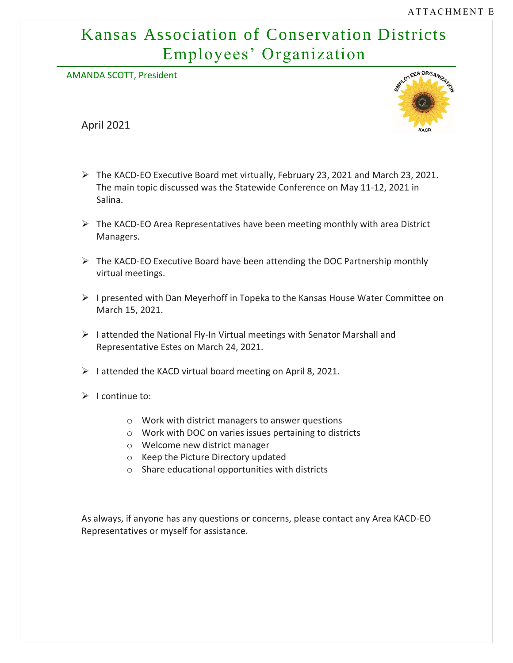# Kansas Association of Conservation Districts Employees' Organization

AMANDA SCOTT, President

April 2021



- ➢ The KACD-EO Executive Board met virtually, February 23, 2021 and March 23, 2021. The main topic discussed was the Statewide Conference on May 11-12, 2021 in Salina.
- ➢ The KACD-EO Area Representatives have been meeting monthly with area District Managers.
- ➢ The KACD-EO Executive Board have been attending the DOC Partnership monthly virtual meetings.
- $\triangleright$  I presented with Dan Meyerhoff in Topeka to the Kansas House Water Committee on March 15, 2021.
- ➢ I attended the National Fly-In Virtual meetings with Senator Marshall and Representative Estes on March 24, 2021.
- $\triangleright$  I attended the KACD virtual board meeting on April 8, 2021.
- $\triangleright$  I continue to:
	- o Work with district managers to answer questions
	- o Work with DOC on varies issues pertaining to districts
	- o Welcome new district manager
	- o Keep the Picture Directory updated
	- o Share educational opportunities with districts

As always, if anyone has any questions or concerns, please contact any Area KACD-EO Representatives or myself for assistance.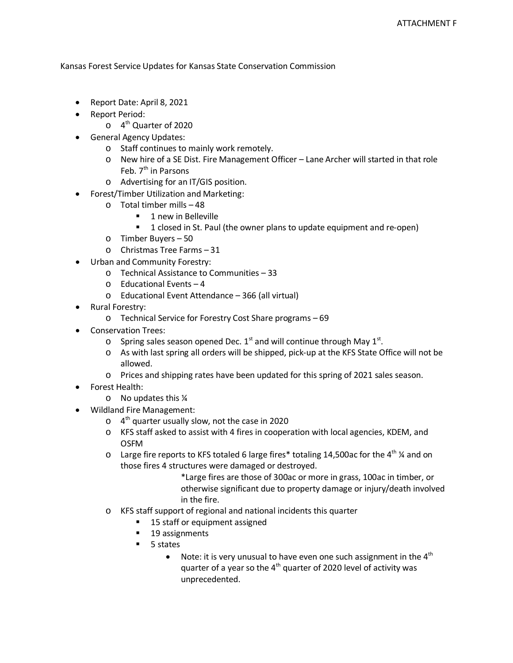Kansas Forest Service Updates for Kansas State Conservation Commission

- Report Date: April 8, 2021
- Report Period:
	- $\circ$  4<sup>th</sup> Quarter of 2020
- General Agency Updates:
	- o Staff continues to mainly work remotely.
	- o New hire of a SE Dist. Fire Management Officer Lane Archer will started in that role Feb. 7<sup>th</sup> in Parsons
	- o Advertising for an IT/GIS position.
- Forest/Timber Utilization and Marketing:
	- o Total timber mills 48
		- 1 new in Belleville
		- **1** closed in St. Paul (the owner plans to update equipment and re-open)
	- o Timber Buyers 50
	- o Christmas Tree Farms 31
- Urban and Community Forestry:
	- o Technical Assistance to Communities 33
	- o Educational Events 4
	- o Educational Event Attendance 366 (all virtual)
- Rural Forestry:
	- o Technical Service for Forestry Cost Share programs 69
- Conservation Trees:
	- $\circ$  Spring sales season opened Dec. 1<sup>st</sup> and will continue through May 1<sup>st</sup>.
	- o As with last spring all orders will be shipped, pick-up at the KFS State Office will not be allowed.
	- o Prices and shipping rates have been updated for this spring of 2021 sales season.
- Forest Health:
	- o No updates this ¼
- Wildland Fire Management:
	- $\circ$  4<sup>th</sup> quarter usually slow, not the case in 2020
	- o KFS staff asked to assist with 4 fires in cooperation with local agencies, KDEM, and OSFM
	- $\circ$  Large fire reports to KFS totaled 6 large fires\* totaling 14,500ac for the 4<sup>th</sup> % and on those fires 4 structures were damaged or destroyed.
		- \*Large fires are those of 300ac or more in grass, 100ac in timber, or otherwise significant due to property damage or injury/death involved in the fire.
	- o KFS staff support of regional and national incidents this quarter
		- 15 staff or equipment assigned
		- **19** assignments
		- 5 states
			- Note: it is very unusual to have even one such assignment in the  $4<sup>th</sup>$ quarter of a year so the  $4<sup>th</sup>$  quarter of 2020 level of activity was unprecedented.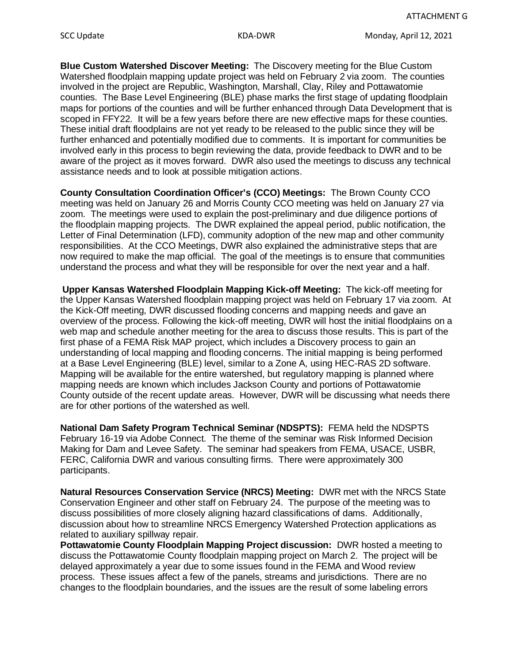**Blue Custom Watershed Discover Meeting:** The Discovery meeting for the Blue Custom Watershed floodplain mapping update project was held on February 2 via zoom. The counties involved in the project are Republic, Washington, Marshall, Clay, Riley and Pottawatomie counties. The Base Level Engineering (BLE) phase marks the first stage of updating floodplain maps for portions of the counties and will be further enhanced through Data Development that is scoped in FFY22. It will be a few years before there are new effective maps for these counties. These initial draft floodplains are not yet ready to be released to the public since they will be further enhanced and potentially modified due to comments. It is important for communities be involved early in this process to begin reviewing the data, provide feedback to DWR and to be aware of the project as it moves forward. DWR also used the meetings to discuss any technical assistance needs and to look at possible mitigation actions.

**County Consultation Coordination Officer's (CCO) Meetings:** The Brown County CCO meeting was held on January 26 and Morris County CCO meeting was held on January 27 via zoom. The meetings were used to explain the post-preliminary and due diligence portions of the floodplain mapping projects. The DWR explained the appeal period, public notification, the Letter of Final Determination (LFD), community adoption of the new map and other community responsibilities. At the CCO Meetings, DWR also explained the administrative steps that are now required to make the map official. The goal of the meetings is to ensure that communities understand the process and what they will be responsible for over the next year and a half.

**Upper Kansas Watershed Floodplain Mapping Kick-off Meeting:** The kick-off meeting for the Upper Kansas Watershed floodplain mapping project was held on February 17 via zoom. At the Kick-Off meeting, DWR discussed flooding concerns and mapping needs and gave an overview of the process. Following the kick-off meeting, DWR will host the initial floodplains on a web map and schedule another meeting for the area to discuss those results. This is part of the first phase of a FEMA Risk MAP project, which includes a Discovery process to gain an understanding of local mapping and flooding concerns. The initial mapping is being performed at a Base Level Engineering (BLE) level, similar to a Zone A, using HEC-RAS 2D software. Mapping will be available for the entire watershed, but regulatory mapping is planned where mapping needs are known which includes Jackson County and portions of Pottawatomie County outside of the recent update areas. However, DWR will be discussing what needs there are for other portions of the watershed as well.

**National Dam Safety Program Technical Seminar (NDSPTS):** FEMA held the NDSPTS February 16-19 via Adobe Connect. The theme of the seminar was Risk Informed Decision Making for Dam and Levee Safety. The seminar had speakers from FEMA, USACE, USBR, FERC, California DWR and various consulting firms. There were approximately 300 participants.

**Natural Resources Conservation Service (NRCS) Meeting:** DWR met with the NRCS State Conservation Engineer and other staff on February 24. The purpose of the meeting was to discuss possibilities of more closely aligning hazard classifications of dams. Additionally, discussion about how to streamline NRCS Emergency Watershed Protection applications as related to auxiliary spillway repair.

**Pottawatomie County Floodplain Mapping Project discussion:** DWR hosted a meeting to discuss the Pottawatomie County floodplain mapping project on March 2. The project will be delayed approximately a year due to some issues found in the FEMA and Wood review process. These issues affect a few of the panels, streams and jurisdictions. There are no changes to the floodplain boundaries, and the issues are the result of some labeling errors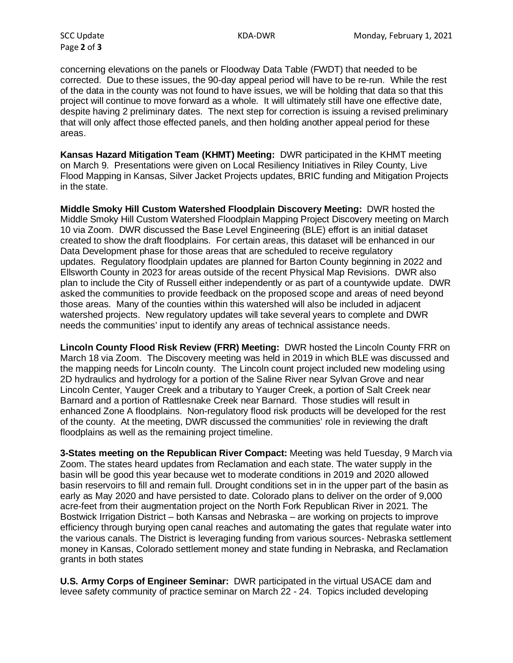Page **2** of **3**

concerning elevations on the panels or Floodway Data Table (FWDT) that needed to be corrected. Due to these issues, the 90-day appeal period will have to be re-run. While the rest of the data in the county was not found to have issues, we will be holding that data so that this project will continue to move forward as a whole. It will ultimately still have one effective date, despite having 2 preliminary dates. The next step for correction is issuing a revised preliminary that will only affect those effected panels, and then holding another appeal period for these areas.

**Kansas Hazard Mitigation Team (KHMT) Meeting:** DWR participated in the KHMT meeting on March 9. Presentations were given on Local Resiliency Initiatives in Riley County, Live Flood Mapping in Kansas, Silver Jacket Projects updates, BRIC funding and Mitigation Projects in the state.

**Middle Smoky Hill Custom Watershed Floodplain Discovery Meeting:** DWR hosted the Middle Smoky Hill Custom Watershed Floodplain Mapping Project Discovery meeting on March 10 via Zoom. DWR discussed the Base Level Engineering (BLE) effort is an initial dataset created to show the draft floodplains. For certain areas, this dataset will be enhanced in our Data Development phase for those areas that are scheduled to receive regulatory updates. Regulatory floodplain updates are planned for Barton County beginning in 2022 and Ellsworth County in 2023 for areas outside of the recent Physical Map Revisions. DWR also plan to include the City of Russell either independently or as part of a countywide update. DWR asked the communities to provide feedback on the proposed scope and areas of need beyond those areas. Many of the counties within this watershed will also be included in adjacent watershed projects. New regulatory updates will take several years to complete and DWR needs the communities' input to identify any areas of technical assistance needs.

**Lincoln County Flood Risk Review (FRR) Meeting:** DWR hosted the Lincoln County FRR on March 18 via Zoom. The Discovery meeting was held in 2019 in which BLE was discussed and the mapping needs for Lincoln county. The Lincoln count project included new modeling using 2D hydraulics and hydrology for a portion of the Saline River near Sylvan Grove and near Lincoln Center, Yauger Creek and a tributary to Yauger Creek, a portion of Salt Creek near Barnard and a portion of Rattlesnake Creek near Barnard. Those studies will result in enhanced Zone A floodplains. Non-regulatory flood risk products will be developed for the rest of the county. At the meeting, DWR discussed the communities' role in reviewing the draft floodplains as well as the remaining project timeline.

**3-States meeting on the Republican River Compact:** Meeting was held Tuesday, 9 March via Zoom. The states heard updates from Reclamation and each state. The water supply in the basin will be good this year because wet to moderate conditions in 2019 and 2020 allowed basin reservoirs to fill and remain full. Drought conditions set in in the upper part of the basin as early as May 2020 and have persisted to date. Colorado plans to deliver on the order of 9,000 acre-feet from their augmentation project on the North Fork Republican River in 2021. The Bostwick Irrigation District – both Kansas and Nebraska – are working on projects to improve efficiency through burying open canal reaches and automating the gates that regulate water into the various canals. The District is leveraging funding from various sources- Nebraska settlement money in Kansas, Colorado settlement money and state funding in Nebraska, and Reclamation grants in both states

**U.S. Army Corps of Engineer Seminar:** DWR participated in the virtual USACE dam and levee safety community of practice seminar on March 22 - 24. Topics included developing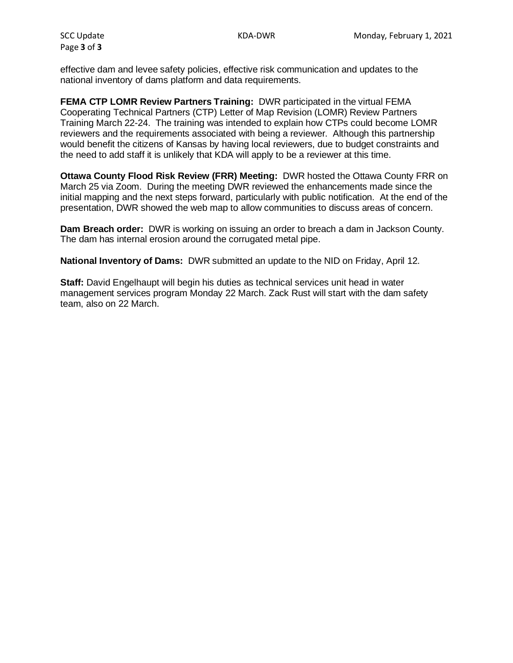Page **3** of **3**

effective dam and levee safety policies, effective risk communication and updates to the national inventory of dams platform and data requirements.

**FEMA CTP LOMR Review Partners Training:** DWR participated in the virtual FEMA Cooperating Technical Partners (CTP) Letter of Map Revision (LOMR) Review Partners Training March 22-24. The training was intended to explain how CTPs could become LOMR reviewers and the requirements associated with being a reviewer. Although this partnership would benefit the citizens of Kansas by having local reviewers, due to budget constraints and the need to add staff it is unlikely that KDA will apply to be a reviewer at this time.

**Ottawa County Flood Risk Review (FRR) Meeting:** DWR hosted the Ottawa County FRR on March 25 via Zoom. During the meeting DWR reviewed the enhancements made since the initial mapping and the next steps forward, particularly with public notification. At the end of the presentation, DWR showed the web map to allow communities to discuss areas of concern.

**Dam Breach order:** DWR is working on issuing an order to breach a dam in Jackson County. The dam has internal erosion around the corrugated metal pipe.

**National Inventory of Dams:** DWR submitted an update to the NID on Friday, April 12.

**Staff:** David Engelhaupt will begin his duties as technical services unit head in water management services program Monday 22 March. Zack Rust will start with the dam safety team, also on 22 March.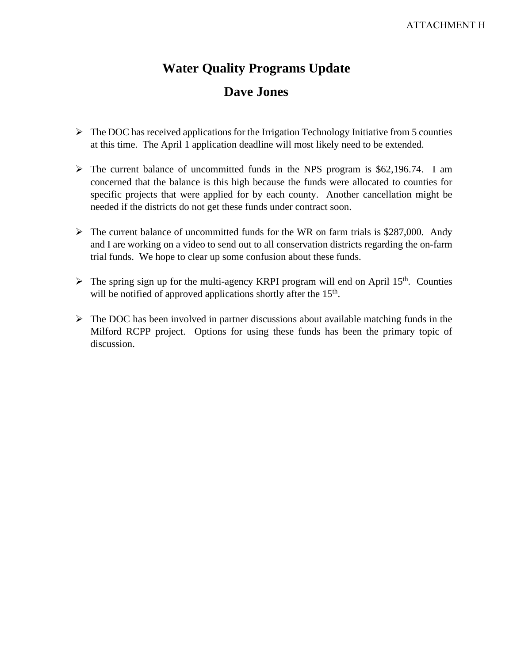# **Water Quality Programs Update Dave Jones**

- $\triangleright$  The DOC has received applications for the Irrigation Technology Initiative from 5 counties at this time. The April 1 application deadline will most likely need to be extended.
- $\triangleright$  The current balance of uncommitted funds in the NPS program is \$62,196.74. I am concerned that the balance is this high because the funds were allocated to counties for specific projects that were applied for by each county. Another cancellation might be needed if the districts do not get these funds under contract soon.
- $\triangleright$  The current balance of uncommitted funds for the WR on farm trials is \$287,000. Andy and I are working on a video to send out to all conservation districts regarding the on-farm trial funds. We hope to clear up some confusion about these funds.
- $\triangleright$  The spring sign up for the multi-agency KRPI program will end on April 15<sup>th</sup>. Counties will be notified of approved applications shortly after the 15<sup>th</sup>.
- $\triangleright$  The DOC has been involved in partner discussions about available matching funds in the Milford RCPP project. Options for using these funds has been the primary topic of discussion.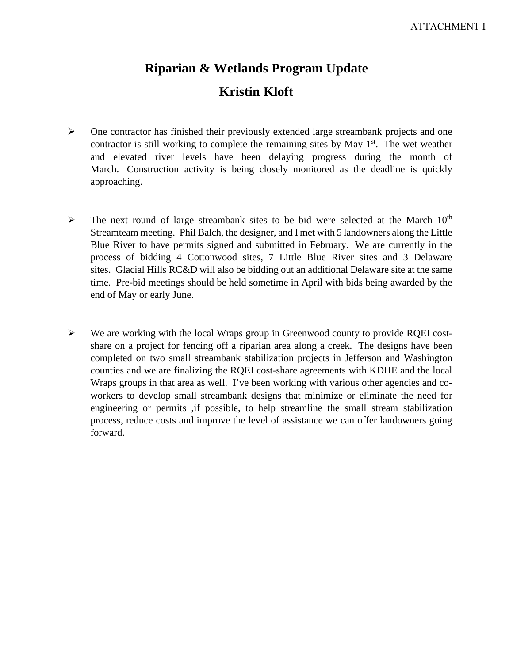# **Riparian & Wetlands Program Update Kristin Kloft**

- $\triangleright$  One contractor has finished their previously extended large streambank projects and one contractor is still working to complete the remaining sites by May  $1<sup>st</sup>$ . The wet weather and elevated river levels have been delaying progress during the month of March. Construction activity is being closely monitored as the deadline is quickly approaching.
- $\triangleright$  The next round of large streambank sites to be bid were selected at the March 10<sup>th</sup> Streamteam meeting. Phil Balch, the designer, and I met with 5 landowners along the Little Blue River to have permits signed and submitted in February. We are currently in the process of bidding 4 Cottonwood sites, 7 Little Blue River sites and 3 Delaware sites. Glacial Hills RC&D will also be bidding out an additional Delaware site at the same time. Pre-bid meetings should be held sometime in April with bids being awarded by the end of May or early June.
- $\triangleright$  We are working with the local Wraps group in Greenwood county to provide RQEI costshare on a project for fencing off a riparian area along a creek. The designs have been completed on two small streambank stabilization projects in Jefferson and Washington counties and we are finalizing the RQEI cost-share agreements with KDHE and the local Wraps groups in that area as well. I've been working with various other agencies and coworkers to develop small streambank designs that minimize or eliminate the need for engineering or permits ,if possible, to help streamline the small stream stabilization process, reduce costs and improve the level of assistance we can offer landowners going forward.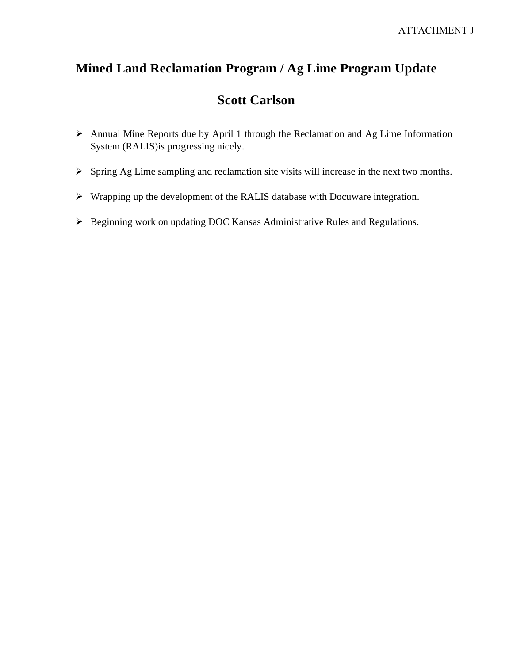# **Mined Land Reclamation Program / Ag Lime Program Update**

# **Scott Carlson**

- $\triangleright$  Annual Mine Reports due by April 1 through the Reclamation and Ag Lime Information System (RALIS)is progressing nicely.
- $\triangleright$  Spring Ag Lime sampling and reclamation site visits will increase in the next two months.
- Wrapping up the development of the RALIS database with Docuware integration.
- ▶ Beginning work on updating DOC Kansas Administrative Rules and Regulations.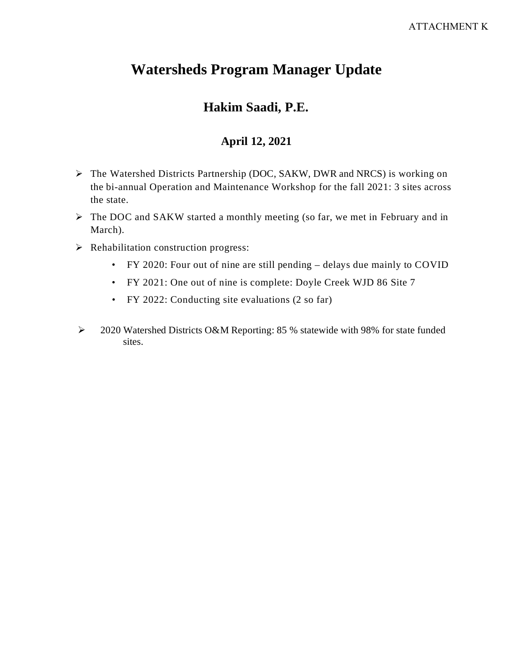# **Watersheds Program Manager Update**

# **Hakim Saadi, P.E.**

### **April 12, 2021**

- The Watershed Districts Partnership (DOC, SAKW, DWR and NRCS) is working on the bi-annual Operation and Maintenance Workshop for the fall 2021: 3 sites across the state.
- The DOC and SAKW started a monthly meeting (so far, we met in February and in March).
- $\triangleright$  Rehabilitation construction progress:
	- FY 2020: Four out of nine are still pending delays due mainly to COVID
	- FY 2021: One out of nine is complete: Doyle Creek WJD 86 Site 7
	- FY 2022: Conducting site evaluations (2 so far)
- 2020 Watershed Districts O&M Reporting: 85 % statewide with 98% for state funded sites.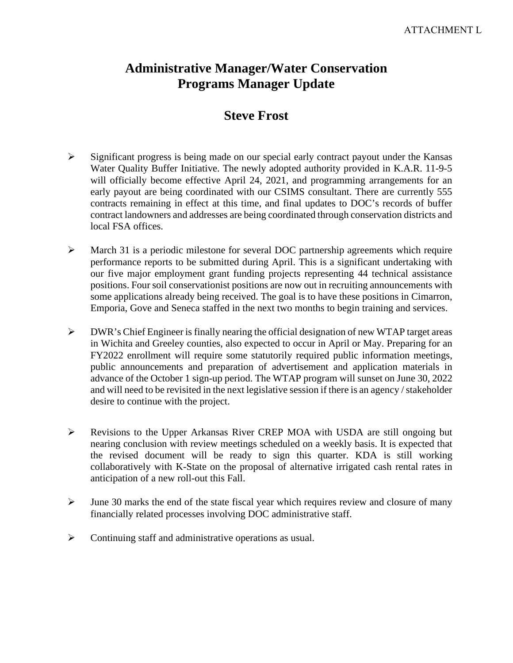# **Administrative Manager/Water Conservation Programs Manager Update**

# **Steve Frost**

- $\triangleright$  Significant progress is being made on our special early contract payout under the Kansas Water Quality Buffer Initiative. The newly adopted authority provided in K.A.R. 11-9-5 will officially become effective April 24, 2021, and programming arrangements for an early payout are being coordinated with our CSIMS consultant. There are currently 555 contracts remaining in effect at this time, and final updates to DOC's records of buffer contract landowners and addresses are being coordinated through conservation districts and local FSA offices.
- $\triangleright$  March 31 is a periodic milestone for several DOC partnership agreements which require performance reports to be submitted during April. This is a significant undertaking with our five major employment grant funding projects representing 44 technical assistance positions. Four soil conservationist positions are now out in recruiting announcements with some applications already being received. The goal is to have these positions in Cimarron, Emporia, Gove and Seneca staffed in the next two months to begin training and services.
- $\triangleright$  DWR's Chief Engineer is finally nearing the official designation of new WTAP target areas in Wichita and Greeley counties, also expected to occur in April or May. Preparing for an FY2022 enrollment will require some statutorily required public information meetings, public announcements and preparation of advertisement and application materials in advance of the October 1 sign-up period. The WTAP program will sunset on June 30, 2022 and will need to be revisited in the next legislative session if there is an agency / stakeholder desire to continue with the project.
- Revisions to the Upper Arkansas River CREP MOA with USDA are still ongoing but nearing conclusion with review meetings scheduled on a weekly basis. It is expected that the revised document will be ready to sign this quarter. KDA is still working collaboratively with K-State on the proposal of alternative irrigated cash rental rates in anticipation of a new roll-out this Fall.
- $\triangleright$  June 30 marks the end of the state fiscal year which requires review and closure of many financially related processes involving DOC administrative staff.
- Continuing staff and administrative operations as usual.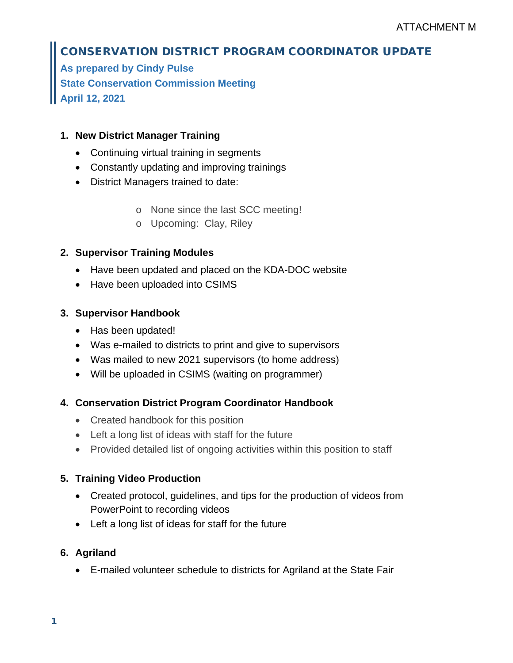# CONSERVATION DISTRICT PROGRAM COORDINATOR UPDATE

**As prepared by Cindy Pulse State Conservation Commission Meeting April 12, 2021**

### **1. New District Manager Training**

- Continuing virtual training in segments
- Constantly updating and improving trainings
- District Managers trained to date:
	- o None since the last SCC meeting!
	- o Upcoming: Clay, Riley

### **2. Supervisor Training Modules**

- Have been updated and placed on the KDA-DOC website
- Have been uploaded into CSIMS

### **3. Supervisor Handbook**

- Has been updated!
- Was e-mailed to districts to print and give to supervisors
- Was mailed to new 2021 supervisors (to home address)
- Will be uploaded in CSIMS (waiting on programmer)

### **4. Conservation District Program Coordinator Handbook**

- Created handbook for this position
- Left a long list of ideas with staff for the future
- Provided detailed list of ongoing activities within this position to staff

### **5. Training Video Production**

- Created protocol, guidelines, and tips for the production of videos from PowerPoint to recording videos
- Left a long list of ideas for staff for the future

### **6. Agriland**

• E-mailed volunteer schedule to districts for Agriland at the State Fair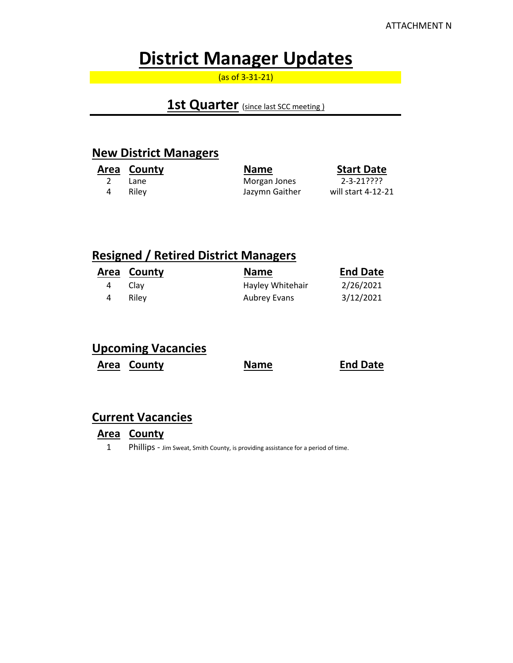# **District Manager Updates**

(as of 3-31-21)

## **1st Quarter** (since last SCC meeting)

### **New District Managers**

|   | Area County | <b>Name</b>    | <b>Start Date</b>  |
|---|-------------|----------------|--------------------|
|   | Lane        | Morgan Jones   | 2-3-21????         |
| 4 | Rilev       | Jazymn Gaither | will start 4-12-21 |

## **Resigned / Retired District Managers**

|   | Area County | <b>Name</b>      | <b>End Date</b> |
|---|-------------|------------------|-----------------|
| 4 | Clav        | Hayley Whitehair | 2/26/2021       |
|   | Rilev       | Aubrey Evans     | 3/12/2021       |

## **Upcoming Vacancies**

**Area County Name End Date** 

### **Current Vacancies**

### **Area County**

1 Phillips - Jim Sweat, Smith County, is providing assistance for a period of time.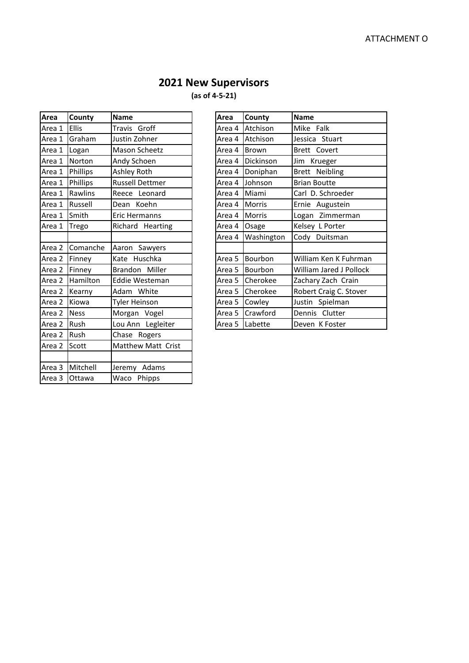# **2021 New Supervisors**

**(as of 4-5-21)**

| Area   | County      | <b>Name</b>            | Area   | County        | <b>Name</b>             |
|--------|-------------|------------------------|--------|---------------|-------------------------|
| Area 1 | Ellis       | Travis Groff           | Area 4 | Atchison      | Mike Falk               |
| Area 1 | Graham      | Justin Zohner          | Area 4 | Atchison      | Jessica Stuart          |
| Area 1 | Logan       | Mason Scheetz          | Area 4 | <b>Brown</b>  | Brett Covert            |
| Area 1 | Norton      | Andy Schoen            | Area 4 | Dickinson     | Jim Krueger             |
| Area 1 | Phillips    | Ashley Roth            | Area 4 | Doniphan      | Brett Neibling          |
| Area 1 | Phillips    | <b>Russell Dettmer</b> | Area 4 | Johnson       | <b>Brian Boutte</b>     |
| Area 1 | Rawlins     | Reece Leonard          | Area 4 | Miami         | Carl D. Schroeder       |
| Area 1 | Russell     | Dean Koehn             | Area 4 | <b>Morris</b> | Ernie Augustein         |
| Area 1 | Smith       | Eric Hermanns          | Area 4 | <b>Morris</b> | Logan Zimmerman         |
| Area 1 | Trego       | Richard Hearting       | Area 4 | Osage         | Kelsey L Porter         |
|        |             |                        | Area 4 | Washington    | Cody Duitsman           |
| Area 2 | Comanche    | Aaron Sawyers          |        |               |                         |
| Area 2 | Finney      | Kate Huschka           | Area 5 | Bourbon       | William Ken K Fuhrma    |
| Area 2 | Finney      | Brandon Miller         | Area 5 | Bourbon       | William Jared J Pollock |
| Area 2 | Hamilton    | Eddie Westeman         | Area 5 | Cherokee      | Zachary Zach Crain      |
| Area 2 | Kearny      | Adam White             | Area 5 | Cherokee      | Robert Craig C. Stover  |
| Area 2 | Kiowa       | <b>Tyler Heinson</b>   | Area 5 | Cowley        | Justin Spielman         |
| Area 2 | <b>Ness</b> | Morgan Vogel           | Area 5 | Crawford      | Dennis Clutter          |
| Area 2 | Rush        | Lou Ann Legleiter      | Area 5 | Labette       | Deven K Foster          |
| Area 2 | Rush        | Chase Rogers           |        |               |                         |
| Area 2 | Scott       | Matthew Matt Crist     |        |               |                         |
|        |             |                        |        |               |                         |
| Area 3 | Mitchell    | Jeremy Adams           |        |               |                         |
| Area 3 | Ottawa      | Waco Phipps            |        |               |                         |

| Area   | County       | <b>Name</b>            | Area   | County        | <b>Name</b>             |
|--------|--------------|------------------------|--------|---------------|-------------------------|
| Area 1 | <b>Ellis</b> | Travis Groff           | Area 4 | Atchison      | Mike Falk               |
| Area 1 | Graham       | Justin Zohner          | Area 4 | Atchison      | Jessica Stuart          |
| Area 1 | Logan        | Mason Scheetz          | Area 4 | <b>Brown</b>  | Brett Covert            |
| Area 1 | Norton       | Andy Schoen            | Area 4 | Dickinson     | Jim Krueger             |
| Area 1 | Phillips     | Ashley Roth            | Area 4 | Doniphan      | Brett Neibling          |
| Area 1 | Phillips     | <b>Russell Dettmer</b> | Area 4 | Johnson       | <b>Brian Boutte</b>     |
| Area 1 | Rawlins      | Reece Leonard          | Area 4 | Miami         | Carl D. Schroeder       |
| Area 1 | Russell      | Dean Koehn             | Area 4 | <b>Morris</b> | Ernie Augustein         |
| Area 1 | Smith        | Eric Hermanns          | Area 4 | <b>Morris</b> | Logan Zimmerman         |
| Area 1 | Trego        | Richard Hearting       | Area 4 | Osage         | Kelsey L Porter         |
|        |              |                        | Area 4 | Washington    | Cody Duitsman           |
| Area 2 | Comanche     | Aaron Sawyers          |        |               |                         |
| Area 2 | Finney       | Kate Huschka           | Area 5 | Bourbon       | William Ken K Fuhrman   |
| Area 2 | Finney       | Brandon Miller         | Area 5 | Bourbon       | William Jared J Pollock |
| Area 2 | Hamilton     | Eddie Westeman         | Area 5 | Cherokee      | Zachary Zach Crain      |
| Area 2 | Kearny       | Adam White             | Area 5 | Cherokee      | Robert Craig C. Stover  |
| Area 2 | Kiowa        | <b>Tyler Heinson</b>   | Area 5 | Cowley        | Justin Spielman         |
| Area 2 | <b>Ness</b>  | Morgan Vogel           | Area 5 | Crawford      | Dennis Clutter          |
| Area 2 | <b>Rush</b>  | Lou Ann Legleiter      | Area 5 | Labette       | Deven K Foster          |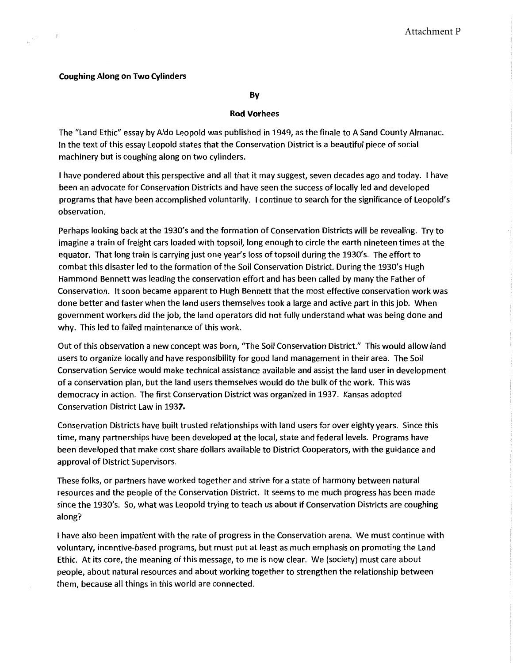#### **Coughing Along on Two Cylinders**

By

#### **Rod Vorhees**

The "Land Ethic" essay by Aldo Leopold was published in 1949, as the finale to A Sand County Almanac. In the text of this essay Leopold states that the Conservation District is a beautiful piece of social machinery but is coughing along on two cylinders.

I have pondered about this perspective and all that it may suggest, seven decades ago and today. I have been an advocate for Conservation Districts and have seen the success of locally led and developed programs that have been accomplished voluntarily. I continue to search for the significance of Leopold's observation.

Perhaps looking back at the 1930's and the formation of Conservation Districts will be revealing. Try to imagine a train of freight cars loaded with topsoil, long enough to circle the earth nineteen times at the equator. That long train is carrying just one year's loss of topsoil during the 1930's. The effort to combat this disaster led to the formation of the Soil Conservation District. During the 1930's Hugh Hammond Bennett was leading the conservation effort and has been called by many the Father of Conservation. It soon became apparent to Hugh Bennett that the most effective conservation work was done better and faster when the land users themselves took a large and active part in this job. When government workers did the job, the land operators did not fully understand what was being done and why. This led to failed maintenance of this work.

Out of this observation a new concept was born, "The Soil Conservation District." This would allow land users to organize locally and have responsibility for good land management in their area. The Soil Conservation Service would make technical assistance available and assist the land user in development of a conservation plan, but the land users themselves would do the bulk of the work. This was democracy in action. The first Conservation District was organized in 1937. Kansas adopted Conservation District Law in 1937.

Conservation Districts have built trusted relationships with land users for over eighty years. Since this time, many partnerships have been developed at the local, state and federal levels. Programs have been developed that make cost share dollars available to District Cooperators, with the guidance and approval of District Supervisors.

These folks, or partners have worked together and strive for a state of harmony between natural resources and the people of the Conservation District. It seems to me much progress has been made since the 1930's. So, what was Leopold trying to teach us about if Conservation Districts are coughing along?

I have also been impatient with the rate of progress in the Conservation arena. We must continue with voluntary, incentive-based programs, but must put at least as much emphasis on promoting the Land Ethic. At its core, the meaning of this message, to me is now clear. We (society) must care about people, about natural resources and about working together to strengthen the relationship between them, because all things in this world are connected.